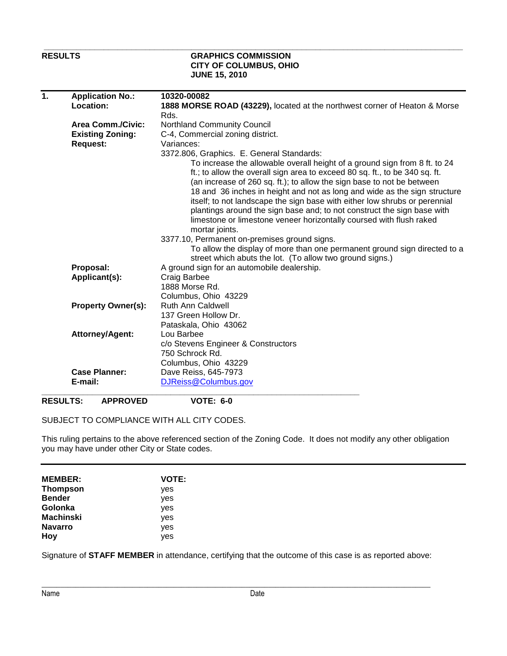## **RESULTS GRAPHICS COMMISSION CITY OF COLUMBUS, OHIO JUNE 15, 2010**

 **\_\_\_\_\_\_\_\_\_\_\_\_\_\_\_\_\_\_\_\_\_\_\_\_\_\_\_\_\_\_\_\_\_\_\_\_\_\_\_\_\_\_\_\_\_\_\_\_\_\_\_\_\_\_\_\_\_\_\_\_\_\_\_\_\_\_\_\_\_\_\_\_\_\_\_\_\_\_\_\_\_\_\_\_\_\_\_\_\_\_\_** 

| $\mathbf{1}$ | <b>Application No.:</b><br>Location: | 10320-00082<br>1888 MORSE ROAD (43229), located at the northwest corner of Heaton & Morse                                                                                                                                                                                                                                                                                                                                                                                                                                                                                                                                                                                                       |  |  |
|--------------|--------------------------------------|-------------------------------------------------------------------------------------------------------------------------------------------------------------------------------------------------------------------------------------------------------------------------------------------------------------------------------------------------------------------------------------------------------------------------------------------------------------------------------------------------------------------------------------------------------------------------------------------------------------------------------------------------------------------------------------------------|--|--|
|              |                                      | Rds.                                                                                                                                                                                                                                                                                                                                                                                                                                                                                                                                                                                                                                                                                            |  |  |
|              | <b>Area Comm./Civic:</b>             | <b>Northland Community Council</b>                                                                                                                                                                                                                                                                                                                                                                                                                                                                                                                                                                                                                                                              |  |  |
|              | <b>Existing Zoning:</b>              | C-4, Commercial zoning district.                                                                                                                                                                                                                                                                                                                                                                                                                                                                                                                                                                                                                                                                |  |  |
|              | <b>Request:</b>                      | Variances:                                                                                                                                                                                                                                                                                                                                                                                                                                                                                                                                                                                                                                                                                      |  |  |
|              |                                      | 3372.806, Graphics. E. General Standards:                                                                                                                                                                                                                                                                                                                                                                                                                                                                                                                                                                                                                                                       |  |  |
|              |                                      | To increase the allowable overall height of a ground sign from 8 ft. to 24<br>ft.; to allow the overall sign area to exceed 80 sq. ft., to be 340 sq. ft.<br>(an increase of 260 sq. ft.); to allow the sign base to not be between<br>18 and 36 inches in height and not as long and wide as the sign structure<br>itself; to not landscape the sign base with either low shrubs or perennial<br>plantings around the sign base and; to not construct the sign base with<br>limestone or limestone veneer horizontally coursed with flush raked<br>mortar joints.<br>3377.10, Permanent on-premises ground signs.<br>To allow the display of more than one permanent ground sign directed to a |  |  |
|              |                                      | street which abuts the lot. (To allow two ground signs.)                                                                                                                                                                                                                                                                                                                                                                                                                                                                                                                                                                                                                                        |  |  |
|              | Proposal:                            | A ground sign for an automobile dealership.                                                                                                                                                                                                                                                                                                                                                                                                                                                                                                                                                                                                                                                     |  |  |
|              | Applicant(s):                        | Craig Barbee                                                                                                                                                                                                                                                                                                                                                                                                                                                                                                                                                                                                                                                                                    |  |  |
|              |                                      | 1888 Morse Rd.                                                                                                                                                                                                                                                                                                                                                                                                                                                                                                                                                                                                                                                                                  |  |  |
|              |                                      | Columbus, Ohio 43229                                                                                                                                                                                                                                                                                                                                                                                                                                                                                                                                                                                                                                                                            |  |  |
|              | <b>Property Owner(s):</b>            | <b>Ruth Ann Caldwell</b>                                                                                                                                                                                                                                                                                                                                                                                                                                                                                                                                                                                                                                                                        |  |  |
|              |                                      | 137 Green Hollow Dr.                                                                                                                                                                                                                                                                                                                                                                                                                                                                                                                                                                                                                                                                            |  |  |
|              |                                      | Pataskala, Ohio 43062                                                                                                                                                                                                                                                                                                                                                                                                                                                                                                                                                                                                                                                                           |  |  |
|              | Attorney/Agent:                      | Lou Barbee                                                                                                                                                                                                                                                                                                                                                                                                                                                                                                                                                                                                                                                                                      |  |  |
|              |                                      | c/o Stevens Engineer & Constructors                                                                                                                                                                                                                                                                                                                                                                                                                                                                                                                                                                                                                                                             |  |  |
|              |                                      | 750 Schrock Rd.                                                                                                                                                                                                                                                                                                                                                                                                                                                                                                                                                                                                                                                                                 |  |  |
|              |                                      | Columbus, Ohio 43229                                                                                                                                                                                                                                                                                                                                                                                                                                                                                                                                                                                                                                                                            |  |  |
|              | <b>Case Planner:</b>                 | Dave Reiss, 645-7973                                                                                                                                                                                                                                                                                                                                                                                                                                                                                                                                                                                                                                                                            |  |  |
|              | E-mail:                              | DJReiss@Columbus.gov                                                                                                                                                                                                                                                                                                                                                                                                                                                                                                                                                                                                                                                                            |  |  |
|              |                                      |                                                                                                                                                                                                                                                                                                                                                                                                                                                                                                                                                                                                                                                                                                 |  |  |

## **RESULTS: APPROVED VOTE: 6-0**

SUBJECT TO COMPLIANCE WITH ALL CITY CODES.

This ruling pertains to the above referenced section of the Zoning Code. It does not modify any other obligation you may have under other City or State codes.

| <b>MEMBER:</b>   | <b>VOTE:</b> |
|------------------|--------------|
| <b>Thompson</b>  | yes          |
| <b>Bender</b>    | yes          |
| Golonka          | yes          |
| <b>Machinski</b> | yes          |
| <b>Navarro</b>   | yes          |
| Hoy              | yes          |

Signature of **STAFF MEMBER** in attendance, certifying that the outcome of this case is as reported above:

\_\_\_\_\_\_\_\_\_\_\_\_\_\_\_\_\_\_\_\_\_\_\_\_\_\_\_\_\_\_\_\_\_\_\_\_\_\_\_\_\_\_\_\_\_\_\_\_\_\_\_\_\_\_\_\_\_\_\_\_\_\_\_\_\_\_\_\_\_\_\_\_\_\_\_\_\_\_\_\_\_\_\_\_\_\_\_\_\_\_\_\_\_\_\_\_\_\_\_\_\_\_\_